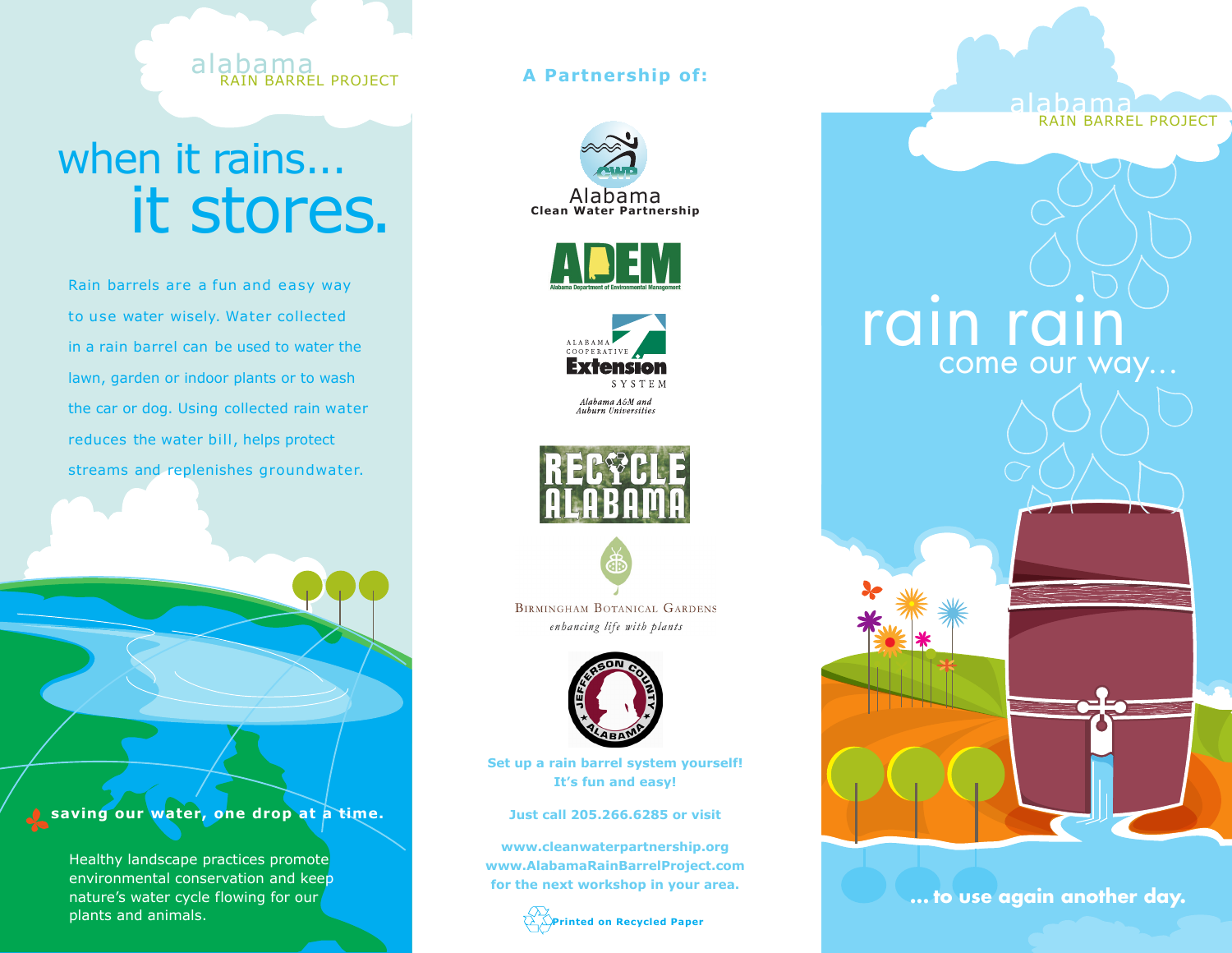## alabama RAIN BARREL PROJECT

# when it rains... it stores.

Rain barrels are a fun and easy way to use water wisely. Water collected in a rain barrel can be used to water the lawn, garden or indoor plants or to wash the car or dog. Using collected rain water reduces the water bill, helps protect streams and replenishes groundwater.

**saving our water, one drop at a time.**

Healthy landscape practices promote environmental conservation and keep nature's water cycle flowing for our plants and animals.

#### **A Partnership of:**









BIRMINGHAM BOTANICAL GARDENS enhancing life with plants



**Set up a rain barrel system yourself! It's fun and easy!** 

**Just call 205.266.6285 or visit** 

**www.cleanwaterpartnership.org www.AlabamaRainBarrelProject.com for the next workshop in your area.**



rain rain come our way...

anama

RAIN BARREL PROJECT